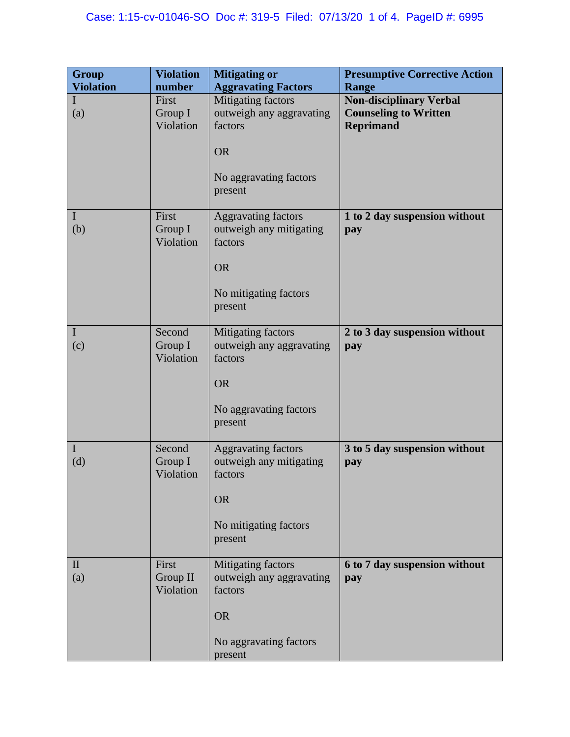| Group               | <b>Violation</b>               | <b>Mitigating or</b>                                                                                              | <b>Presumptive Corrective Action</b>                                               |
|---------------------|--------------------------------|-------------------------------------------------------------------------------------------------------------------|------------------------------------------------------------------------------------|
| <b>Violation</b>    | number                         | <b>Aggravating Factors</b>                                                                                        | Range                                                                              |
| I<br>(a)            | First<br>Group I<br>Violation  | Mitigating factors<br>outweigh any aggravating<br>factors                                                         | <b>Non-disciplinary Verbal</b><br><b>Counseling to Written</b><br><b>Reprimand</b> |
|                     |                                | <b>OR</b>                                                                                                         |                                                                                    |
|                     |                                | No aggravating factors<br>present                                                                                 |                                                                                    |
| $\bf{l}$<br>(b)     | First<br>Group I<br>Violation  | <b>Aggravating factors</b><br>outweigh any mitigating<br>factors<br><b>OR</b><br>No mitigating factors<br>present | 1 to 2 day suspension without<br>pay                                               |
| $\mathbf I$<br>(c)  | Second<br>Group I<br>Violation | Mitigating factors<br>outweigh any aggravating<br>factors<br><b>OR</b><br>No aggravating factors<br>present       | 2 to 3 day suspension without<br>pay                                               |
| $\mathbf I$<br>(d)  | Second<br>Group I<br>Violation | <b>Aggravating factors</b><br>outweigh any mitigating<br>factors<br><b>OR</b><br>No mitigating factors<br>present | 3 to 5 day suspension without<br>pay                                               |
| $\mathbf{I}$<br>(a) | First<br>Group II<br>Violation | Mitigating factors<br>outweigh any aggravating<br>factors<br><b>OR</b><br>No aggravating factors<br>present       | 6 to 7 day suspension without<br>pay                                               |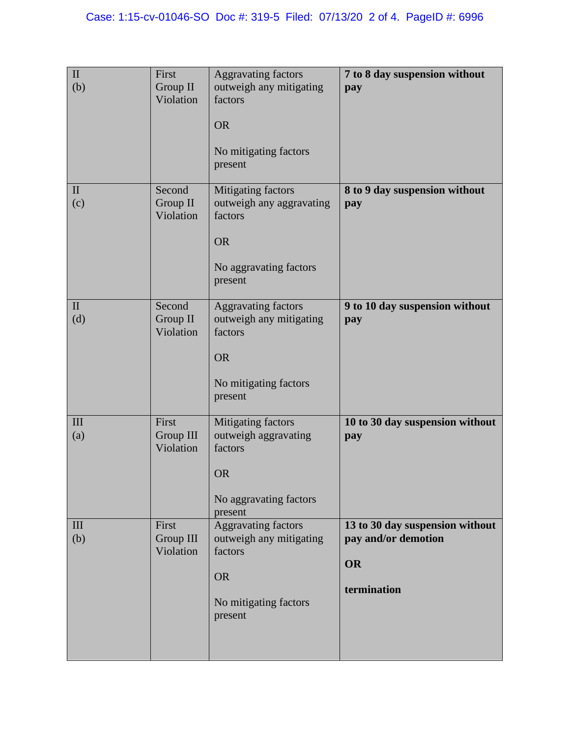| $\rm II$<br>(b)     | First<br>Group II<br>Violation  | <b>Aggravating factors</b><br>outweigh any mitigating<br>factors<br><b>OR</b><br>No mitigating factors<br>present | 7 to 8 day suspension without<br>pay                                               |
|---------------------|---------------------------------|-------------------------------------------------------------------------------------------------------------------|------------------------------------------------------------------------------------|
| $\mathbf{I}$<br>(c) | Second<br>Group II<br>Violation | Mitigating factors<br>outweigh any aggravating<br>factors<br><b>OR</b><br>No aggravating factors<br>present       | 8 to 9 day suspension without<br>pay                                               |
| $\mathbf{I}$<br>(d) | Second<br>Group II<br>Violation | <b>Aggravating factors</b><br>outweigh any mitigating<br>factors<br><b>OR</b><br>No mitigating factors<br>present | 9 to 10 day suspension without<br>pay                                              |
| III<br>(a)          | First<br>Group III<br>Violation | Mitigating factors<br>outweigh aggravating<br>factors<br><b>OR</b><br>No aggravating factors<br>present           | 10 to 30 day suspension without<br>pay                                             |
| III<br>(b)          | First<br>Group III<br>Violation | <b>Aggravating factors</b><br>outweigh any mitigating<br>factors<br><b>OR</b><br>No mitigating factors<br>present | 13 to 30 day suspension without<br>pay and/or demotion<br><b>OR</b><br>termination |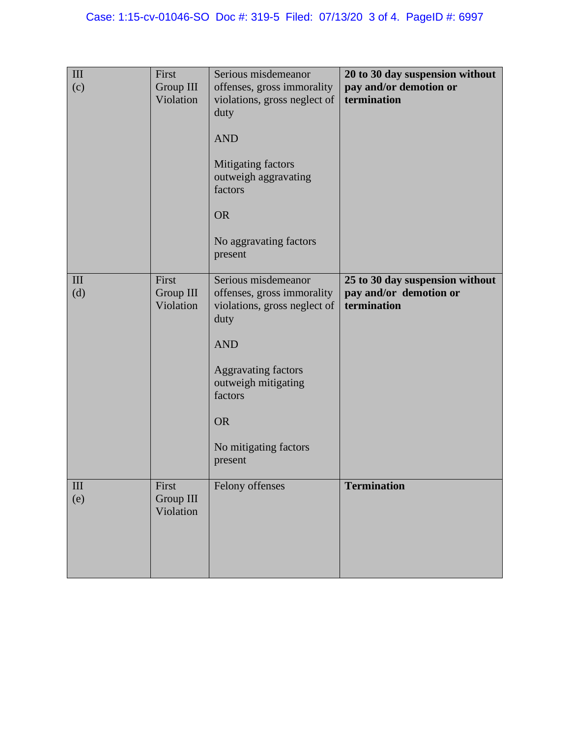| III<br>(c)                | First<br>Group III<br>Violation | Serious misdemeanor<br>offenses, gross immorality<br>violations, gross neglect of<br>duty<br><b>AND</b><br>Mitigating factors<br>outweigh aggravating<br>factors<br><b>OR</b><br>No aggravating factors<br>present       | 20 to 30 day suspension without<br>pay and/or demotion or<br>termination |
|---------------------------|---------------------------------|--------------------------------------------------------------------------------------------------------------------------------------------------------------------------------------------------------------------------|--------------------------------------------------------------------------|
| $\mathop{\rm III}$<br>(d) | First<br>Group III<br>Violation | Serious misdemeanor<br>offenses, gross immorality<br>violations, gross neglect of<br>duty<br><b>AND</b><br><b>Aggravating factors</b><br>outweigh mitigating<br>factors<br><b>OR</b><br>No mitigating factors<br>present | 25 to 30 day suspension without<br>pay and/or demotion or<br>termination |
| $\mathop{\rm III}$<br>(e) | First<br>Group III<br>Violation | Felony offenses                                                                                                                                                                                                          | Termination                                                              |